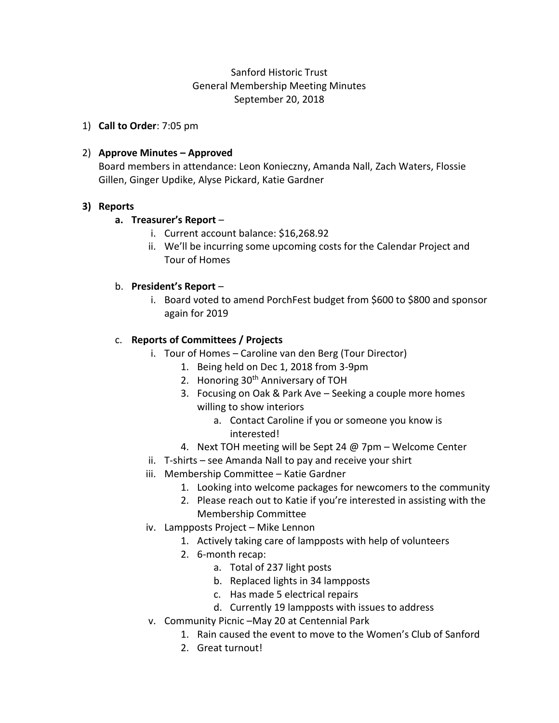# Sanford Historic Trust General Membership Meeting Minutes September 20, 2018

1) **Call to Order**: 7:05 pm

### 2) **Approve Minutes – Approved**

Board members in attendance: Leon Konieczny, Amanda Nall, Zach Waters, Flossie Gillen, Ginger Updike, Alyse Pickard, Katie Gardner

#### **3) Reports**

#### **a. Treasurer's Report** –

- i. Current account balance: \$16,268.92
- ii. We'll be incurring some upcoming costs for the Calendar Project and Tour of Homes

#### b. **President's Report** –

i. Board voted to amend PorchFest budget from \$600 to \$800 and sponsor again for 2019

#### c. **Reports of Committees / Projects**

- i. Tour of Homes Caroline van den Berg (Tour Director)
	- 1. Being held on Dec 1, 2018 from 3-9pm
	- 2. Honoring 30<sup>th</sup> Anniversary of TOH
	- 3. Focusing on Oak & Park Ave Seeking a couple more homes willing to show interiors
		- a. Contact Caroline if you or someone you know is interested!
	- 4. Next TOH meeting will be Sept 24 @ 7pm Welcome Center
- ii. T-shirts see Amanda Nall to pay and receive your shirt
- iii. Membership Committee Katie Gardner
	- 1. Looking into welcome packages for newcomers to the community
	- 2. Please reach out to Katie if you're interested in assisting with the Membership Committee
- iv. Lampposts Project Mike Lennon
	- 1. Actively taking care of lampposts with help of volunteers
	- 2. 6-month recap:
		- a. Total of 237 light posts
		- b. Replaced lights in 34 lampposts
		- c. Has made 5 electrical repairs
		- d. Currently 19 lampposts with issues to address
- v. Community Picnic –May 20 at Centennial Park
	- 1. Rain caused the event to move to the Women's Club of Sanford
	- 2. Great turnout!